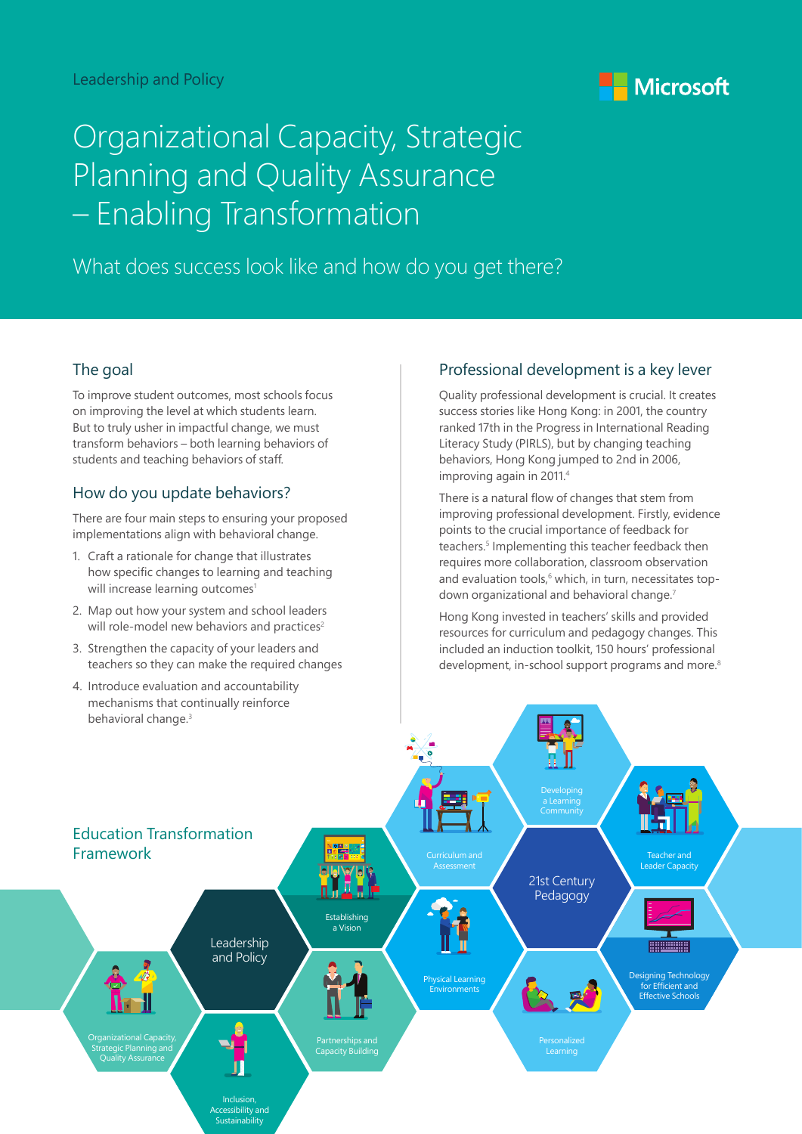

# Organizational Capacity, Strategic Planning and Quality Assurance – Enabling Transformation

What does success look like and how do you get there?

#### The goal

To improve student outcomes, most schools focus on improving the level at which students learn. But to truly usher in impactful change, we must transform behaviors – both learning behaviors of students and teaching behaviors of staff.

#### How do you update behaviors?

There are four main steps to ensuring your proposed implementations align with behavioral change.

- 1. Craft a rationale for change that illustrates how specific changes to learning and teaching will increase learning outcomes<sup>1</sup>
- 2. Map out how your system and school leaders will role-model new behaviors and practices<sup>2</sup>
- 3. Strengthen the capacity of your leaders and teachers so they can make the required changes
- 4. Introduce evaluation and accountability mechanisms that continually reinforce behavioral change.<sup>3</sup>

### Professional development is a key lever

Quality professional development is crucial. It creates success stories like Hong Kong: in 2001, the country ranked 17th in the Progress in International Reading Literacy Study (PIRLS), but by changing teaching behaviors, Hong Kong jumped to 2nd in 2006, improving again in 2011.4

There is a natural flow of changes that stem from improving professional development. Firstly, evidence points to the crucial importance of feedback for teachers.<sup>5</sup> Implementing this teacher feedback then requires more collaboration, classroom observation and evaluation tools,<sup>6</sup> which, in turn, necessitates topdown organizational and behavioral change.<sup>7</sup>

Hong Kong invested in teachers' skills and provided resources for curriculum and pedagogy changes. This included an induction toolkit, 150 hours' professional development, in-school support programs and more.<sup>8</sup>